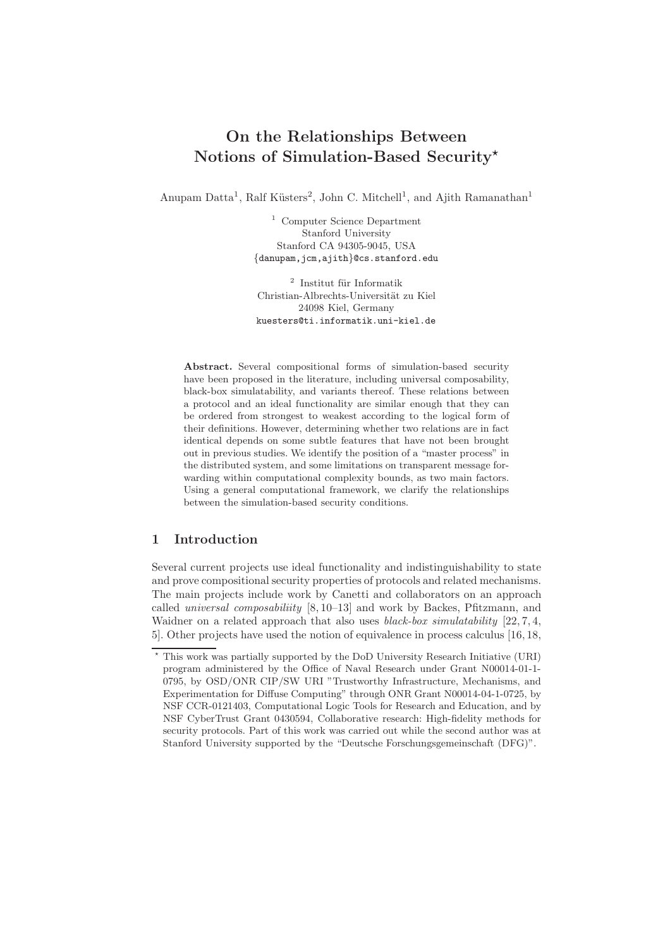# On the Relationships Between Notions of Simulation-Based Security<sup>\*</sup>

Anupam Datta<sup>1</sup>, Ralf Küsters<sup>2</sup>, John C. Mitchell<sup>1</sup>, and Ajith Ramanathan<sup>1</sup>

<sup>1</sup> Computer Science Department Stanford University Stanford CA 94305-9045, USA {danupam,jcm,ajith}@cs.stanford.edu

 $2$  Institut für Informatik Christian-Albrechts-Universität zu Kiel 24098 Kiel, Germany kuesters@ti.informatik.uni-kiel.de

Abstract. Several compositional forms of simulation-based security have been proposed in the literature, including universal composability, black-box simulatability, and variants thereof. These relations between a protocol and an ideal functionality are similar enough that they can be ordered from strongest to weakest according to the logical form of their definitions. However, determining whether two relations are in fact identical depends on some subtle features that have not been brought out in previous studies. We identify the position of a "master process" in the distributed system, and some limitations on transparent message forwarding within computational complexity bounds, as two main factors. Using a general computational framework, we clarify the relationships between the simulation-based security conditions.

# 1 Introduction

Several current projects use ideal functionality and indistinguishability to state and prove compositional security properties of protocols and related mechanisms. The main projects include work by Canetti and collaborators on an approach called universal composabiliity [8, 10–13] and work by Backes, Pfitzmann, and Waidner on a related approach that also uses *black-box simulatability* [22, 7, 4, 5]. Other projects have used the notion of equivalence in process calculus [16, 18,

<sup>⋆</sup> This work was partially supported by the DoD University Research Initiative (URI) program administered by the Office of Naval Research under Grant N00014-01-1- 0795, by OSD/ONR CIP/SW URI "Trustworthy Infrastructure, Mechanisms, and Experimentation for Diffuse Computing" through ONR Grant N00014-04-1-0725, by NSF CCR-0121403, Computational Logic Tools for Research and Education, and by NSF CyberTrust Grant 0430594, Collaborative research: High-fidelity methods for security protocols. Part of this work was carried out while the second author was at Stanford University supported by the "Deutsche Forschungsgemeinschaft (DFG)".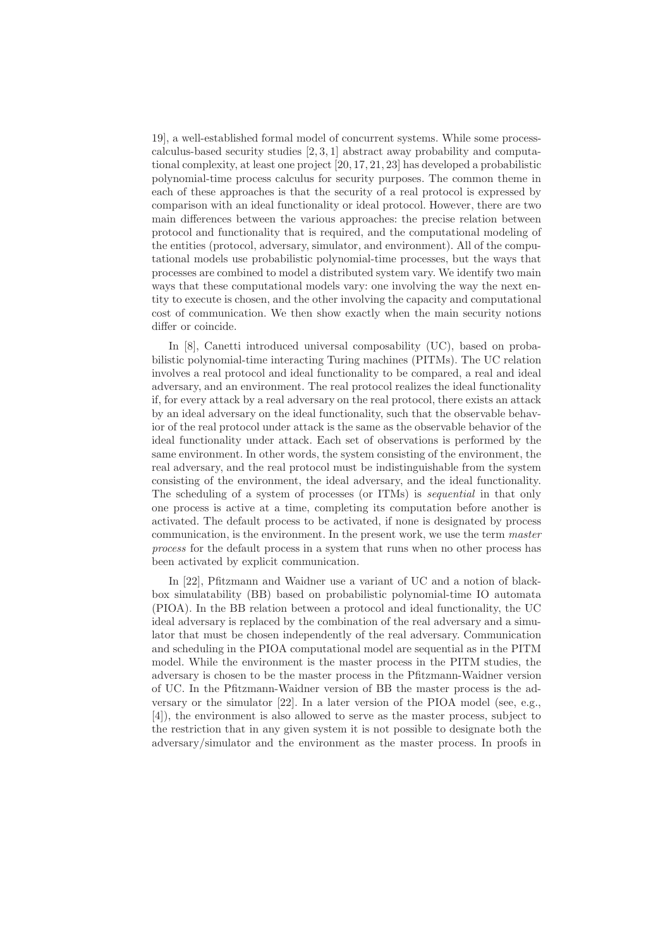19], a well-established formal model of concurrent systems. While some processcalculus-based security studies [2, 3, 1] abstract away probability and computational complexity, at least one project [20, 17, 21, 23] has developed a probabilistic polynomial-time process calculus for security purposes. The common theme in each of these approaches is that the security of a real protocol is expressed by comparison with an ideal functionality or ideal protocol. However, there are two main differences between the various approaches: the precise relation between protocol and functionality that is required, and the computational modeling of the entities (protocol, adversary, simulator, and environment). All of the computational models use probabilistic polynomial-time processes, but the ways that processes are combined to model a distributed system vary. We identify two main ways that these computational models vary: one involving the way the next entity to execute is chosen, and the other involving the capacity and computational cost of communication. We then show exactly when the main security notions differ or coincide.

In [8], Canetti introduced universal composability (UC), based on probabilistic polynomial-time interacting Turing machines (PITMs). The UC relation involves a real protocol and ideal functionality to be compared, a real and ideal adversary, and an environment. The real protocol realizes the ideal functionality if, for every attack by a real adversary on the real protocol, there exists an attack by an ideal adversary on the ideal functionality, such that the observable behavior of the real protocol under attack is the same as the observable behavior of the ideal functionality under attack. Each set of observations is performed by the same environment. In other words, the system consisting of the environment, the real adversary, and the real protocol must be indistinguishable from the system consisting of the environment, the ideal adversary, and the ideal functionality. The scheduling of a system of processes (or ITMs) is sequential in that only one process is active at a time, completing its computation before another is activated. The default process to be activated, if none is designated by process communication, is the environment. In the present work, we use the term master process for the default process in a system that runs when no other process has been activated by explicit communication.

In [22], Pfitzmann and Waidner use a variant of UC and a notion of blackbox simulatability (BB) based on probabilistic polynomial-time IO automata (PIOA). In the BB relation between a protocol and ideal functionality, the UC ideal adversary is replaced by the combination of the real adversary and a simulator that must be chosen independently of the real adversary. Communication and scheduling in the PIOA computational model are sequential as in the PITM model. While the environment is the master process in the PITM studies, the adversary is chosen to be the master process in the Pfitzmann-Waidner version of UC. In the Pfitzmann-Waidner version of BB the master process is the adversary or the simulator [22]. In a later version of the PIOA model (see, e.g., [4]), the environment is also allowed to serve as the master process, subject to the restriction that in any given system it is not possible to designate both the adversary/simulator and the environment as the master process. In proofs in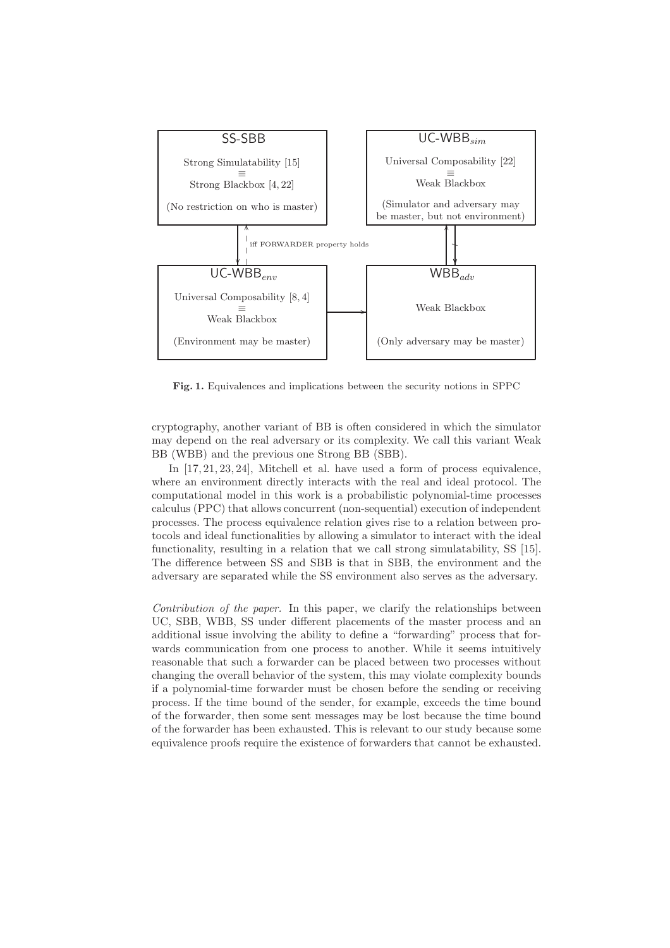

Fig. 1. Equivalences and implications between the security notions in SPPC

cryptography, another variant of BB is often considered in which the simulator may depend on the real adversary or its complexity. We call this variant Weak BB (WBB) and the previous one Strong BB (SBB).

In [17, 21, 23, 24]. Mitchell et al. have used a form of process equivalence, where an environment directly interacts with the real and ideal protocol. The computational model in this work is a probabilistic polynomial-time processes calculus (PPC) that allows concurrent (non-sequential) execution of independent processes. The process equivalence relation gives rise to a relation between protocols and ideal functionalities by allowing a simulator to interact with the ideal functionality, resulting in a relation that we call strong simulatability, SS [15]. The difference between SS and SBB is that in SBB, the environment and the adversary are separated while the SS environment also serves as the adversary.

Contribution of the paper. In this paper, we clarify the relationships between UC, SBB, WBB, SS under different placements of the master process and an additional issue involving the ability to define a "forwarding" process that forwards communication from one process to another. While it seems intuitively reasonable that such a forwarder can be placed between two processes without changing the overall behavior of the system, this may violate complexity bounds if a polynomial-time forwarder must be chosen before the sending or receiving process. If the time bound of the sender, for example, exceeds the time bound of the forwarder, then some sent messages may be lost because the time bound of the forwarder has been exhausted. This is relevant to our study because some equivalence proofs require the existence of forwarders that cannot be exhausted.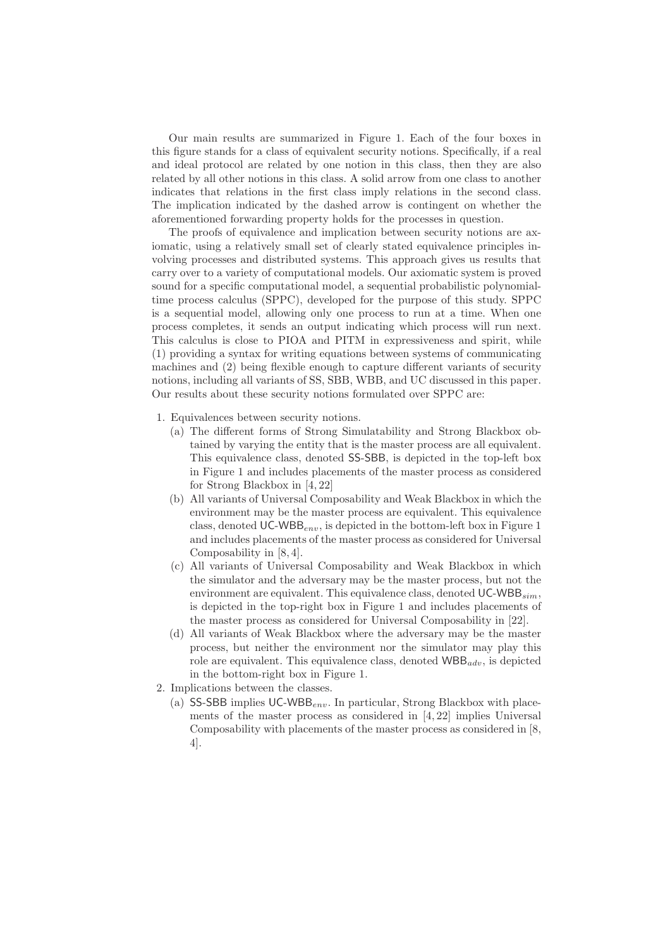Our main results are summarized in Figure 1. Each of the four boxes in this figure stands for a class of equivalent security notions. Specifically, if a real and ideal protocol are related by one notion in this class, then they are also related by all other notions in this class. A solid arrow from one class to another indicates that relations in the first class imply relations in the second class. The implication indicated by the dashed arrow is contingent on whether the aforementioned forwarding property holds for the processes in question.

The proofs of equivalence and implication between security notions are axiomatic, using a relatively small set of clearly stated equivalence principles involving processes and distributed systems. This approach gives us results that carry over to a variety of computational models. Our axiomatic system is proved sound for a specific computational model, a sequential probabilistic polynomialtime process calculus (SPPC), developed for the purpose of this study. SPPC is a sequential model, allowing only one process to run at a time. When one process completes, it sends an output indicating which process will run next. This calculus is close to PIOA and PITM in expressiveness and spirit, while (1) providing a syntax for writing equations between systems of communicating machines and (2) being flexible enough to capture different variants of security notions, including all variants of SS, SBB, WBB, and UC discussed in this paper. Our results about these security notions formulated over SPPC are:

- 1. Equivalences between security notions.
	- (a) The different forms of Strong Simulatability and Strong Blackbox obtained by varying the entity that is the master process are all equivalent. This equivalence class, denoted SS-SBB, is depicted in the top-left box in Figure 1 and includes placements of the master process as considered for Strong Blackbox in [4, 22]
	- (b) All variants of Universal Composability and Weak Blackbox in which the environment may be the master process are equivalent. This equivalence class, denoted  $UC-WBB_{env}$ , is depicted in the bottom-left box in Figure 1 and includes placements of the master process as considered for Universal Composability in [8, 4].
	- (c) All variants of Universal Composability and Weak Blackbox in which the simulator and the adversary may be the master process, but not the environment are equivalent. This equivalence class, denoted  $UC-WBB_{sim}$ , is depicted in the top-right box in Figure 1 and includes placements of the master process as considered for Universal Composability in [22].
	- (d) All variants of Weak Blackbox where the adversary may be the master process, but neither the environment nor the simulator may play this role are equivalent. This equivalence class, denoted  $WBB_{adv}$ , is depicted in the bottom-right box in Figure 1.
- 2. Implications between the classes.
	- (a) SS-SBB implies  $UC-WBB_{env}$ . In particular, Strong Blackbox with placements of the master process as considered in [4, 22] implies Universal Composability with placements of the master process as considered in [8, 4].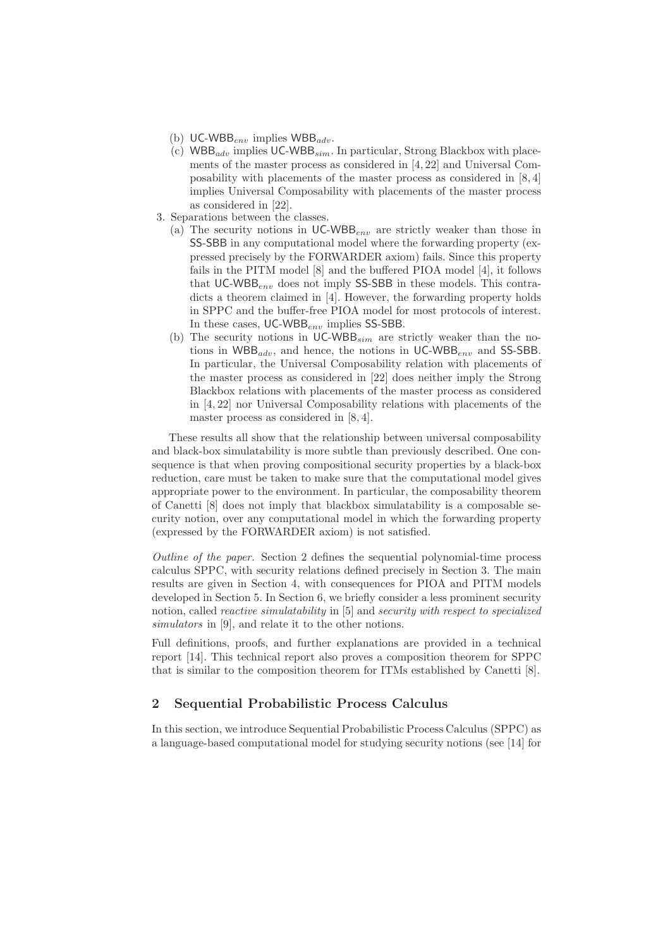- (b)  $UC-WBB_{env}$  implies  $WBB_{adv}$ .
- (c)  $WBB_{adv}$  implies UC-WBB<sub>sim</sub>. In particular, Strong Blackbox with placements of the master process as considered in [4, 22] and Universal Composability with placements of the master process as considered in [8, 4] implies Universal Composability with placements of the master process as considered in [22].
- 3. Separations between the classes.
	- (a) The security notions in  $UC-WBB_{env}$  are strictly weaker than those in SS-SBB in any computational model where the forwarding property (expressed precisely by the FORWARDER axiom) fails. Since this property fails in the PITM model [8] and the buffered PIOA model [4], it follows that  $UC-WBB_{env}$  does not imply SS-SBB in these models. This contradicts a theorem claimed in [4]. However, the forwarding property holds in SPPC and the buffer-free PIOA model for most protocols of interest. In these cases,  $UC-WBB_{env}$  implies SS-SBB.
	- (b) The security notions in  $UC-WBB_{sim}$  are strictly weaker than the notions in  $WBB_{adv}$ , and hence, the notions in UC-WBB<sub>env</sub> and SS-SBB. In particular, the Universal Composability relation with placements of the master process as considered in [22] does neither imply the Strong Blackbox relations with placements of the master process as considered in [4, 22] nor Universal Composability relations with placements of the master process as considered in [8, 4].

These results all show that the relationship between universal composability and black-box simulatability is more subtle than previously described. One consequence is that when proving compositional security properties by a black-box reduction, care must be taken to make sure that the computational model gives appropriate power to the environment. In particular, the composability theorem of Canetti [8] does not imply that blackbox simulatability is a composable security notion, over any computational model in which the forwarding property (expressed by the FORWARDER axiom) is not satisfied.

Outline of the paper. Section 2 defines the sequential polynomial-time process calculus SPPC, with security relations defined precisely in Section 3. The main results are given in Section 4, with consequences for PIOA and PITM models developed in Section 5. In Section 6, we briefly consider a less prominent security notion, called reactive simulatability in [5] and security with respect to specialized simulators in [9], and relate it to the other notions.

Full definitions, proofs, and further explanations are provided in a technical report [14]. This technical report also proves a composition theorem for SPPC that is similar to the composition theorem for ITMs established by Canetti [8].

## 2 Sequential Probabilistic Process Calculus

In this section, we introduce Sequential Probabilistic Process Calculus (SPPC) as a language-based computational model for studying security notions (see [14] for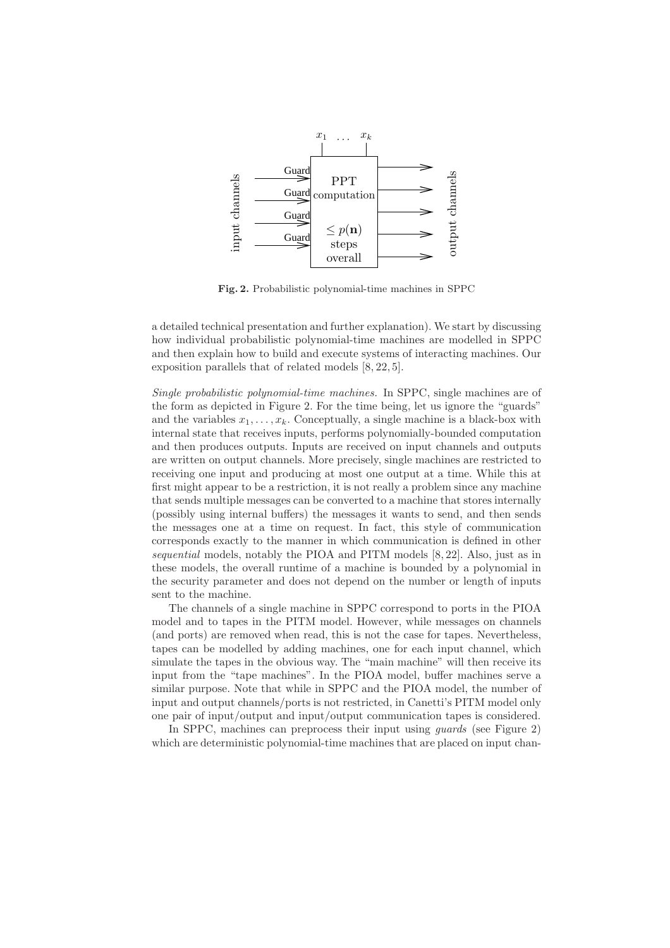

Fig. 2. Probabilistic polynomial-time machines in SPPC

a detailed technical presentation and further explanation). We start by discussing how individual probabilistic polynomial-time machines are modelled in SPPC and then explain how to build and execute systems of interacting machines. Our exposition parallels that of related models [8, 22, 5].

Single probabilistic polynomial-time machines. In SPPC, single machines are of the form as depicted in Figure 2. For the time being, let us ignore the "guards" and the variables  $x_1, \ldots, x_k$ . Conceptually, a single machine is a black-box with internal state that receives inputs, performs polynomially-bounded computation and then produces outputs. Inputs are received on input channels and outputs are written on output channels. More precisely, single machines are restricted to receiving one input and producing at most one output at a time. While this at first might appear to be a restriction, it is not really a problem since any machine that sends multiple messages can be converted to a machine that stores internally (possibly using internal buffers) the messages it wants to send, and then sends the messages one at a time on request. In fact, this style of communication corresponds exactly to the manner in which communication is defined in other sequential models, notably the PIOA and PITM models [8, 22]. Also, just as in these models, the overall runtime of a machine is bounded by a polynomial in the security parameter and does not depend on the number or length of inputs sent to the machine.

The channels of a single machine in SPPC correspond to ports in the PIOA model and to tapes in the PITM model. However, while messages on channels (and ports) are removed when read, this is not the case for tapes. Nevertheless, tapes can be modelled by adding machines, one for each input channel, which simulate the tapes in the obvious way. The "main machine" will then receive its input from the "tape machines". In the PIOA model, buffer machines serve a similar purpose. Note that while in SPPC and the PIOA model, the number of input and output channels/ports is not restricted, in Canetti's PITM model only one pair of input/output and input/output communication tapes is considered.

In SPPC, machines can preprocess their input using guards (see Figure 2) which are deterministic polynomial-time machines that are placed on input chan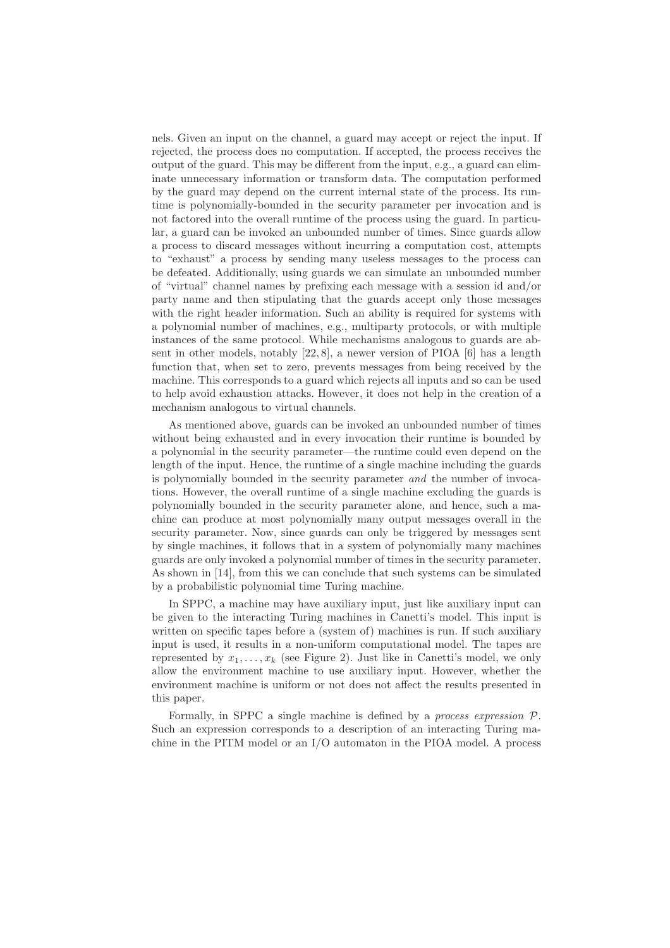nels. Given an input on the channel, a guard may accept or reject the input. If rejected, the process does no computation. If accepted, the process receives the output of the guard. This may be different from the input, e.g., a guard can eliminate unnecessary information or transform data. The computation performed by the guard may depend on the current internal state of the process. Its runtime is polynomially-bounded in the security parameter per invocation and is not factored into the overall runtime of the process using the guard. In particular, a guard can be invoked an unbounded number of times. Since guards allow a process to discard messages without incurring a computation cost, attempts to "exhaust" a process by sending many useless messages to the process can be defeated. Additionally, using guards we can simulate an unbounded number of "virtual" channel names by prefixing each message with a session id and/or party name and then stipulating that the guards accept only those messages with the right header information. Such an ability is required for systems with a polynomial number of machines, e.g., multiparty protocols, or with multiple instances of the same protocol. While mechanisms analogous to guards are absent in other models, notably [22, 8], a newer version of PIOA [6] has a length function that, when set to zero, prevents messages from being received by the machine. This corresponds to a guard which rejects all inputs and so can be used to help avoid exhaustion attacks. However, it does not help in the creation of a mechanism analogous to virtual channels.

As mentioned above, guards can be invoked an unbounded number of times without being exhausted and in every invocation their runtime is bounded by a polynomial in the security parameter—the runtime could even depend on the length of the input. Hence, the runtime of a single machine including the guards is polynomially bounded in the security parameter and the number of invocations. However, the overall runtime of a single machine excluding the guards is polynomially bounded in the security parameter alone, and hence, such a machine can produce at most polynomially many output messages overall in the security parameter. Now, since guards can only be triggered by messages sent by single machines, it follows that in a system of polynomially many machines guards are only invoked a polynomial number of times in the security parameter. As shown in [14], from this we can conclude that such systems can be simulated by a probabilistic polynomial time Turing machine.

In SPPC, a machine may have auxiliary input, just like auxiliary input can be given to the interacting Turing machines in Canetti's model. This input is written on specific tapes before a (system of) machines is run. If such auxiliary input is used, it results in a non-uniform computational model. The tapes are represented by  $x_1, \ldots, x_k$  (see Figure 2). Just like in Canetti's model, we only allow the environment machine to use auxiliary input. However, whether the environment machine is uniform or not does not affect the results presented in this paper.

Formally, in SPPC a single machine is defined by a process expression P. Such an expression corresponds to a description of an interacting Turing machine in the PITM model or an I/O automaton in the PIOA model. A process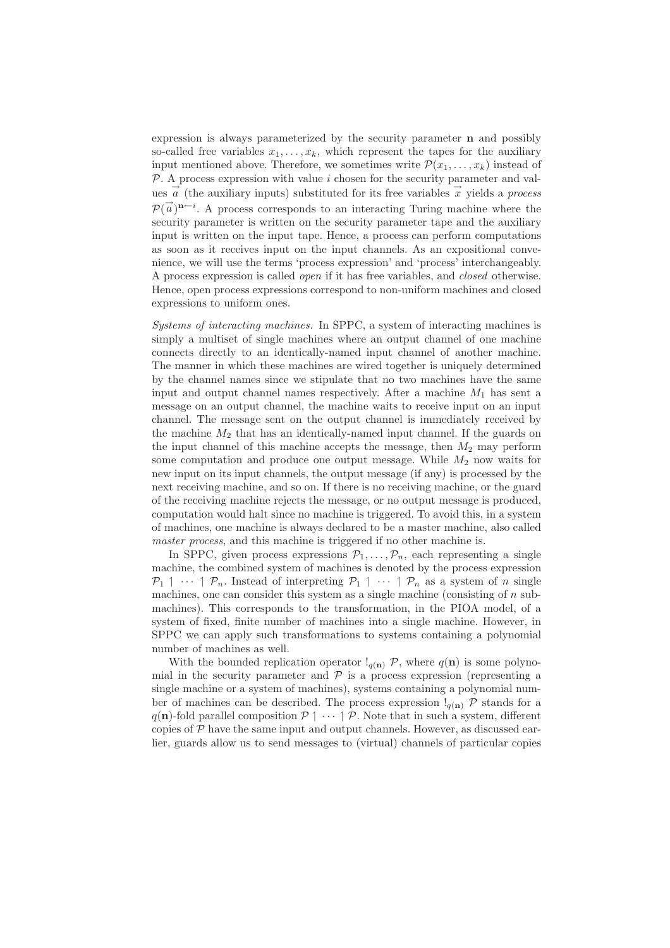expression is always parameterized by the security parameter n and possibly so-called free variables  $x_1, \ldots, x_k$ , which represent the tapes for the auxiliary input mentioned above. Therefore, we sometimes write  $\mathcal{P}(x_1, \ldots, x_k)$  instead of  $P$ . A process expression with value  $i$  chosen for the security parameter and values  $\vec{a}$  (the auxiliary inputs) substituted for its free variables  $\vec{x}$  yields a process  $\mathcal{P}(\vec{a})^{\mathbf{n}-i}$ . A process corresponds to an interacting Turing machine where the security parameter is written on the security parameter tape and the auxiliary input is written on the input tape. Hence, a process can perform computations as soon as it receives input on the input channels. As an expositional convenience, we will use the terms 'process expression' and 'process' interchangeably. A process expression is called open if it has free variables, and closed otherwise. Hence, open process expressions correspond to non-uniform machines and closed expressions to uniform ones.

Systems of interacting machines. In SPPC, a system of interacting machines is simply a multiset of single machines where an output channel of one machine connects directly to an identically-named input channel of another machine. The manner in which these machines are wired together is uniquely determined by the channel names since we stipulate that no two machines have the same input and output channel names respectively. After a machine  $M_1$  has sent a message on an output channel, the machine waits to receive input on an input channel. The message sent on the output channel is immediately received by the machine  $M_2$  that has an identically-named input channel. If the guards on the input channel of this machine accepts the message, then  $M_2$  may perform some computation and produce one output message. While  $M_2$  now waits for new input on its input channels, the output message (if any) is processed by the next receiving machine, and so on. If there is no receiving machine, or the guard of the receiving machine rejects the message, or no output message is produced, computation would halt since no machine is triggered. To avoid this, in a system of machines, one machine is always declared to be a master machine, also called master process, and this machine is triggered if no other machine is.

In SPPC, given process expressions  $\mathcal{P}_1, \ldots, \mathcal{P}_n$ , each representing a single machine, the combined system of machines is denoted by the process expression  $\mathcal{P}_1$  |  $\cdots$  |  $\mathcal{P}_n$ . Instead of interpreting  $\mathcal{P}_1$  |  $\cdots$  |  $\mathcal{P}_n$  as a system of *n* single machines, one can consider this system as a single machine (consisting of  $n$  submachines). This corresponds to the transformation, in the PIOA model, of a system of fixed, finite number of machines into a single machine. However, in SPPC we can apply such transformations to systems containing a polynomial number of machines as well.

With the bounded replication operator  $\mathcal{L}_{q(n)}$   $\mathcal{P}$ , where  $q(n)$  is some polynomial in the security parameter and  $\mathcal P$  is a process expression (representing a single machine or a system of machines), systems containing a polynomial number of machines can be described. The process expression  $\mathcal{L}_{q(n)}$   $\mathcal{P}$  stands for a  $q(\mathbf{n})$ -fold parallel composition  $\mathcal{P} \uparrow \cdots \uparrow \mathcal{P}$ . Note that in such a system, different copies of  $\mathcal P$  have the same input and output channels. However, as discussed earlier, guards allow us to send messages to (virtual) channels of particular copies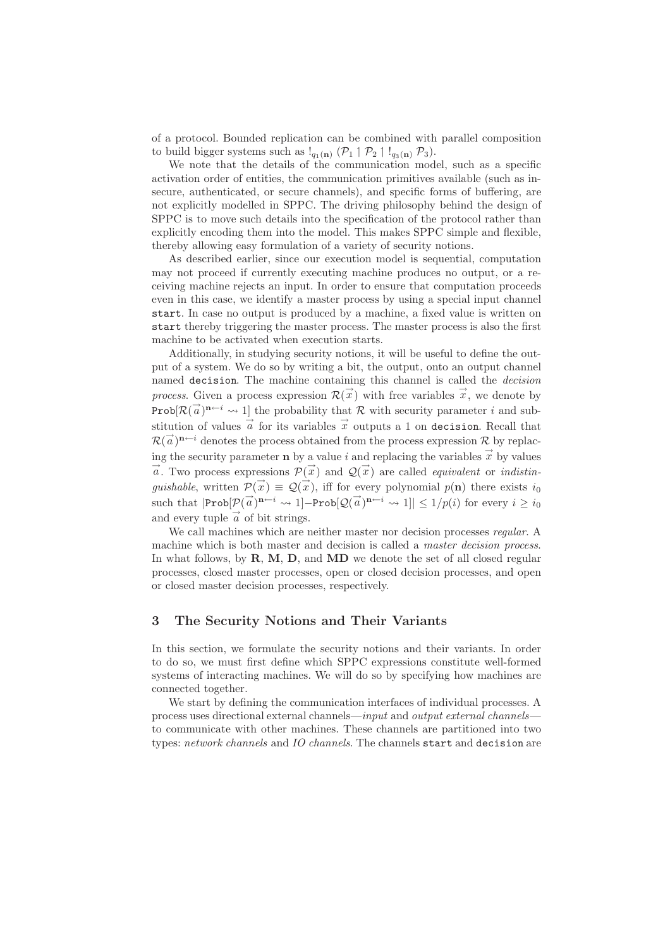of a protocol. Bounded replication can be combined with parallel composition to build bigger systems such as  $!_{q_1(n)}$  ( $\mathcal{P}_1 \upharpoonright \mathcal{P}_2 \upharpoonright \mathcal{P}_{q_3(n)} \mathcal{P}_3$ ).

We note that the details of the communication model, such as a specific activation order of entities, the communication primitives available (such as insecure, authenticated, or secure channels), and specific forms of buffering, are not explicitly modelled in SPPC. The driving philosophy behind the design of SPPC is to move such details into the specification of the protocol rather than explicitly encoding them into the model. This makes SPPC simple and flexible, thereby allowing easy formulation of a variety of security notions.

As described earlier, since our execution model is sequential, computation may not proceed if currently executing machine produces no output, or a receiving machine rejects an input. In order to ensure that computation proceeds even in this case, we identify a master process by using a special input channel start. In case no output is produced by a machine, a fixed value is written on start thereby triggering the master process. The master process is also the first machine to be activated when execution starts.

Additionally, in studying security notions, it will be useful to define the output of a system. We do so by writing a bit, the output, onto an output channel named decision. The machine containing this channel is called the *decision* process. Given a process expression  $\mathcal{R}(\vec{x})$  with free variables  $\vec{x}$ , we denote by Prob $[\mathcal{R}(\vec{a})^{\mathbf{n}\leftarrow i} \leadsto 1]$  the probability that  $\mathcal R$  with security parameter i and substitution of values  $\vec{a}$  for its variables  $\vec{x}$  outputs a 1 on decision. Recall that  $\mathcal{R}(\vec{a})^{n-i}$  denotes the process obtained from the process expression R by replacing the security parameter **n** by a value i and replacing the variables  $\vec{x}$  by values  $\vec{a}$ . Two process expressions  $\vec{\mathcal{P}}(\vec{x})$  and  $\mathcal{Q}(\vec{x})$  are called *equivalent* or *indistin*guishable, written  $\mathcal{P}(\vec{x}) \equiv \mathcal{Q}(\vec{x})$ , iff for every polynomial  $p(\mathbf{n})$  there exists  $i_0$ such that  $|\text{Prob}[\mathcal{P}(\vec{a})^{\mathbf{n}-i} \leadsto 1] - \text{Prob}[\mathcal{Q}(\vec{a})^{\mathbf{n}-i} \leadsto 1]| \leq 1/p(i)$  for every  $i \geq i_0$ and every tuple  $\overrightarrow{a}$  of bit strings.

We call machines which are neither master nor decision processes regular. A machine which is both master and decision is called a *master decision process*. In what follows, by  $R$ ,  $M$ ,  $D$ , and  $MD$  we denote the set of all closed regular processes, closed master processes, open or closed decision processes, and open or closed master decision processes, respectively.

## 3 The Security Notions and Their Variants

In this section, we formulate the security notions and their variants. In order to do so, we must first define which SPPC expressions constitute well-formed systems of interacting machines. We will do so by specifying how machines are connected together.

We start by defining the communication interfaces of individual processes. A process uses directional external channels—input and output external channels to communicate with other machines. These channels are partitioned into two types: network channels and IO channels. The channels start and decision are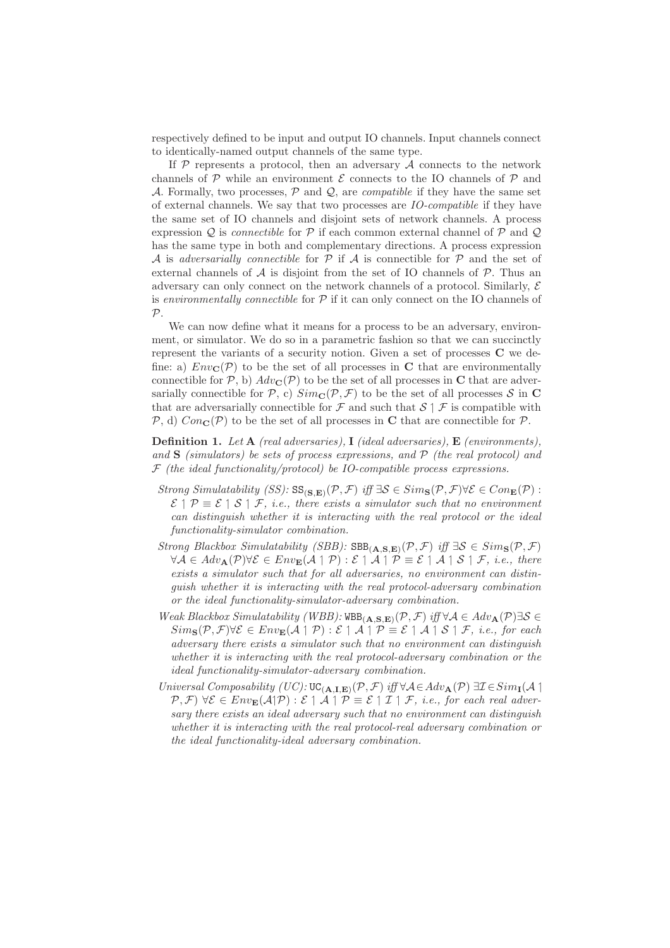respectively defined to be input and output IO channels. Input channels connect to identically-named output channels of the same type.

If  $P$  represents a protocol, then an adversary  $A$  connects to the network channels of  $P$  while an environment  $E$  connects to the IO channels of  $P$  and A. Formally, two processes,  $P$  and  $Q$ , are *compatible* if they have the same set of external channels. We say that two processes are  $IO$ -compatible if they have the same set of IO channels and disjoint sets of network channels. A process expression  $Q$  is *connectible* for  $P$  if each common external channel of  $P$  and  $Q$ has the same type in both and complementary directions. A process expression A is adversarially connectible for  $P$  if A is connectible for  $P$  and the set of external channels of  $A$  is disjoint from the set of IO channels of  $P$ . Thus an adversary can only connect on the network channels of a protocol. Similarly,  $\mathcal E$ is environmentally connectible for  $P$  if it can only connect on the IO channels of  $\mathcal{P}$ .

We can now define what it means for a process to be an adversary, environment, or simulator. We do so in a parametric fashion so that we can succinctly represent the variants of a security notion. Given a set of processes C we define: a)  $Env_{\mathbf{C}}(\mathcal{P})$  to be the set of all processes in C that are environmentally connectible for P, b)  $Adv_{\mathbf{C}}(\mathcal{P})$  to be the set of all processes in C that are adversarially connectible for P, c)  $Sim_{\mathbf{C}}(\mathcal{P}, \mathcal{F})$  to be the set of all processes S in C that are adversarially connectible for  $\mathcal F$  and such that  $\mathcal S \upharpoonleft \mathcal F$  is compatible with  $\mathcal{P}$ , d)  $Con_{\mathbb{C}}(\mathcal{P})$  to be the set of all processes in C that are connectible for  $\mathcal{P}$ .

Definition 1. Let A (real adversaries), I (ideal adversaries), E (environments), and  $S$  (simulators) be sets of process expressions, and  $P$  (the real protocol) and  $F$  (the ideal functionality/protocol) be IO-compatible process expressions.

- Strong Simulatability  $(SS): SS_{(S,E)}(\mathcal{P}, \mathcal{F})$  iff  $\exists S \in Sim_S(\mathcal{P}, \mathcal{F}) \forall \mathcal{E} \in Con_E(\mathcal{P})$ :  $\mathcal{E} \upharpoonright \mathcal{P} \equiv \mathcal{E} \upharpoonright \mathcal{S} \upharpoonright \mathcal{F}$ , i.e., there exists a simulator such that no environment can distinguish whether it is interacting with the real protocol or the ideal functionality-simulator combination.
- Strong Blackbox Simulatability (SBB):  $SBB_{(A,S,E)}(\mathcal{P},\mathcal{F})$  iff  $\exists \mathcal{S} \in Sim_S(\mathcal{P},\mathcal{F})$  $\forall A \in Adv_{\mathbf{A}}(\mathcal{P}) \forall \mathcal{E} \in Env_{\mathbf{E}}(\mathcal{A} \mid \mathcal{P}) : \mathcal{E} \mid \mathcal{A} \mid \mathcal{P} \equiv \mathcal{E} \mid \mathcal{A} \mid \mathcal{S} \mid \mathcal{F}, \text{ i.e., there}$ exists a simulator such that for all adversaries, no environment can distinguish whether it is interacting with the real protocol-adversary combination or the ideal functionality-simulator-adversary combination.
- Weak Blackbox Simulatability (WBB):  $WBB_{(A, S, E)}(\mathcal{P}, \mathcal{F})$  iff  $\forall A \in Adv_{A}(\mathcal{P}) \exists S \in$  $Sim_{\mathbf{S}}(\mathcal{P},\mathcal{F})\forall \mathcal{E}\in Env_{\mathbf{E}}(\mathcal{A}\mid \mathcal{P}): \mathcal{E}\mid \mathcal{A}\mid \mathcal{P}\equiv \mathcal{E}\mid \mathcal{A}\mid \mathcal{S}\mid \mathcal{F},$  i.e., for each adversary there exists a simulator such that no environment can distinguish whether it is interacting with the real protocol-adversary combination or the ideal functionality-simulator-adversary combination.
- Universal Composability (UC):  $UC_{(A,I,E)}(\mathcal{P},\mathcal{F})$  iff  $\forall A \in Adv_{A}(\mathcal{P}) \exists \mathcal{I} \in Sim_{I}(A \mid \mathcal{F})$  $\mathcal{P}, \mathcal{F}$ )  $\forall \mathcal{E} \in Env_{\mathbf{E}}(\mathcal{A}|\mathcal{P}) : \mathcal{E} \upharpoonright \mathcal{A} \upharpoonright \mathcal{P} \equiv \mathcal{E} \upharpoonright \mathcal{I} \upharpoonright \mathcal{F}, i.e., for each real adver$ sary there exists an ideal adversary such that no environment can distinguish whether it is interacting with the real protocol-real adversary combination or the ideal functionality-ideal adversary combination.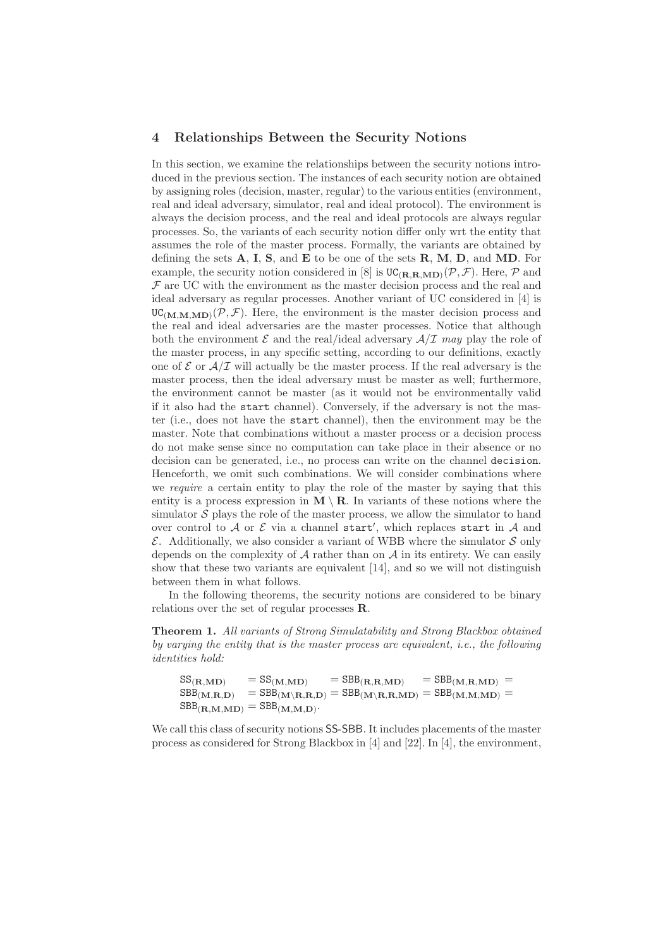#### 4 Relationships Between the Security Notions

In this section, we examine the relationships between the security notions introduced in the previous section. The instances of each security notion are obtained by assigning roles (decision, master, regular) to the various entities (environment, real and ideal adversary, simulator, real and ideal protocol). The environment is always the decision process, and the real and ideal protocols are always regular processes. So, the variants of each security notion differ only wrt the entity that assumes the role of the master process. Formally, the variants are obtained by defining the sets  $A$ ,  $I$ ,  $S$ , and  $E$  to be one of the sets  $R$ ,  $M$ ,  $D$ , and  $MD$ . For example, the security notion considered in [8] is  $UC_{(R,R,MD)}(\mathcal{P}, \mathcal{F})$ . Here,  $\mathcal P$  and  $F$  are UC with the environment as the master decision process and the real and ideal adversary as regular processes. Another variant of UC considered in [4] is  $UC_{(M,M,MD)}(\mathcal{P},\mathcal{F})$ . Here, the environment is the master decision process and the real and ideal adversaries are the master processes. Notice that although both the environment  $\mathcal E$  and the real/ideal adversary  $\mathcal A/\mathcal I$  may play the role of the master process, in any specific setting, according to our definitions, exactly one of  $\mathcal E$  or  $\mathcal A/\mathcal I$  will actually be the master process. If the real adversary is the master process, then the ideal adversary must be master as well; furthermore, the environment cannot be master (as it would not be environmentally valid if it also had the start channel). Conversely, if the adversary is not the master (i.e., does not have the start channel), then the environment may be the master. Note that combinations without a master process or a decision process do not make sense since no computation can take place in their absence or no decision can be generated, i.e., no process can write on the channel decision. Henceforth, we omit such combinations. We will consider combinations where we require a certain entity to play the role of the master by saying that this entity is a process expression in  $M \setminus R$ . In variants of these notions where the simulator  $\mathcal S$  plays the role of the master process, we allow the simulator to hand over control to  $A$  or  $E$  via a channel start', which replaces start in  $A$  and  $\mathcal E$ . Additionally, we also consider a variant of WBB where the simulator  $\mathcal S$  only depends on the complexity of  $A$  rather than on  $A$  in its entirety. We can easily show that these two variants are equivalent [14], and so we will not distinguish between them in what follows.

In the following theorems, the security notions are considered to be binary relations over the set of regular processes R.

Theorem 1. All variants of Strong Simulatability and Strong Blackbox obtained by varying the entity that is the master process are equivalent, i.e., the following identities hold:

 $SS_{(R, MD)}$  =  $SS_{(M, MD)}$  =  $SBB_{(R, R, MD)}$  =  $SBB_{(M, R, MD)}$  =  $SBB_{(M,R,D)}$  =  $SBB_{(M\setminus R,R,D)}$  =  $SBB_{(M\setminus R,R,MD)}$  =  $SBB_{(M,M,MD)}$  =  $\texttt{SBB}_{(\mathbf{R},\mathbf{M},\mathbf{M}\mathbf{D})} = \texttt{SBB}_{(\mathbf{M},\mathbf{M},\mathbf{D})}.$ 

We call this class of security notions SS-SBB. It includes placements of the master process as considered for Strong Blackbox in [4] and [22]. In [4], the environment,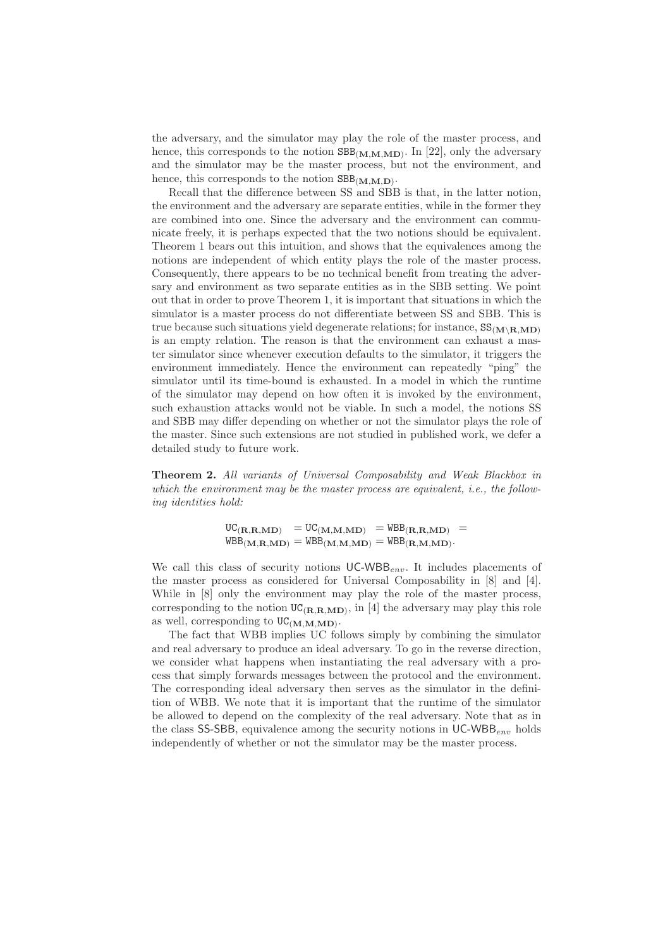the adversary, and the simulator may play the role of the master process, and hence, this corresponds to the notion  $SBB_{(M,M,MD)}$ . In [22], only the adversary and the simulator may be the master process, but not the environment, and hence, this corresponds to the notion  $SBB_{(M,M,D)}$ .

Recall that the difference between SS and SBB is that, in the latter notion, the environment and the adversary are separate entities, while in the former they are combined into one. Since the adversary and the environment can communicate freely, it is perhaps expected that the two notions should be equivalent. Theorem 1 bears out this intuition, and shows that the equivalences among the notions are independent of which entity plays the role of the master process. Consequently, there appears to be no technical benefit from treating the adversary and environment as two separate entities as in the SBB setting. We point out that in order to prove Theorem 1, it is important that situations in which the simulator is a master process do not differentiate between SS and SBB. This is true because such situations yield degenerate relations; for instance,  $SS_{(M\setminus R,MD)}$ is an empty relation. The reason is that the environment can exhaust a master simulator since whenever execution defaults to the simulator, it triggers the environment immediately. Hence the environment can repeatedly "ping" the simulator until its time-bound is exhausted. In a model in which the runtime of the simulator may depend on how often it is invoked by the environment, such exhaustion attacks would not be viable. In such a model, the notions SS and SBB may differ depending on whether or not the simulator plays the role of the master. Since such extensions are not studied in published work, we defer a detailed study to future work.

Theorem 2. All variants of Universal Composability and Weak Blackbox in which the environment may be the master process are equivalent, i.e., the following identities hold:

> $\text{UC}_{(\mathbf{R},\mathbf{R},\mathbf{M}\mathbf{D})} = \text{UC}_{(\mathbf{M},\mathbf{M},\mathbf{M}\mathbf{D})} = \text{WBB}_{(\mathbf{R},\mathbf{R},\mathbf{M}\mathbf{D})} =$  $\text{WBB}_{(\mathbf{M}, \mathbf{R}, \mathbf{M}\mathbf{D})} = \text{WBB}_{(\mathbf{M}, \mathbf{M}, \mathbf{M}\mathbf{D})} = \text{WBB}_{(\mathbf{R}, \mathbf{M}, \mathbf{M}\mathbf{D})}.$

We call this class of security notions  $UC-WBB_{env}$ . It includes placements of the master process as considered for Universal Composability in [8] and [4]. While in [8] only the environment may play the role of the master process, corresponding to the notion  $UC_{(R,R,MD)}$ , in [4] the adversary may play this role as well, corresponding to  $UC_{(M,M,\text{MD})}$ .

The fact that WBB implies UC follows simply by combining the simulator and real adversary to produce an ideal adversary. To go in the reverse direction, we consider what happens when instantiating the real adversary with a process that simply forwards messages between the protocol and the environment. The corresponding ideal adversary then serves as the simulator in the definition of WBB. We note that it is important that the runtime of the simulator be allowed to depend on the complexity of the real adversary. Note that as in the class SS-SBB, equivalence among the security notions in  $UC-WBB_{env}$  holds independently of whether or not the simulator may be the master process.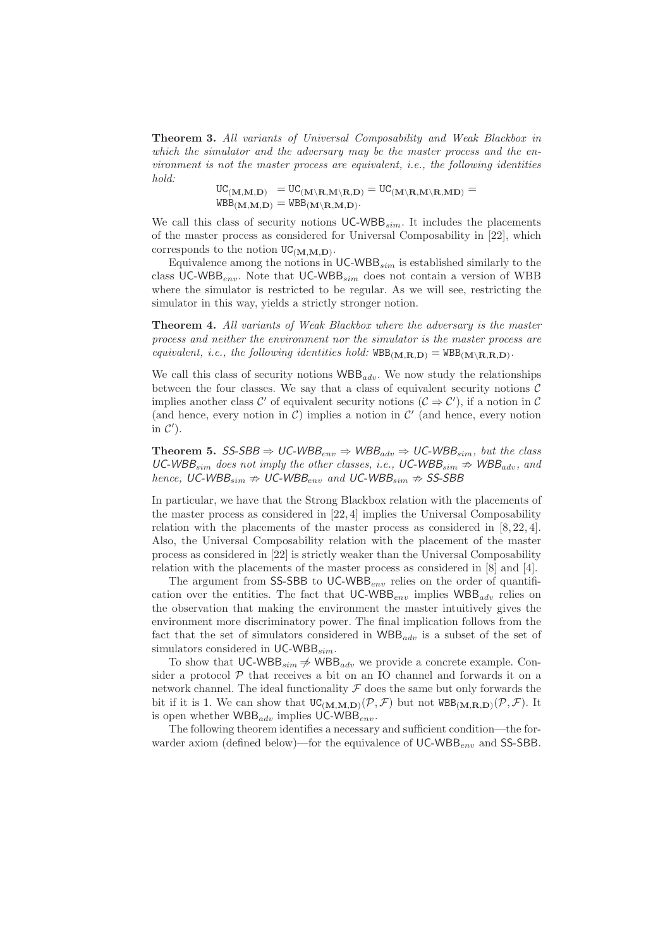Theorem 3. All variants of Universal Composability and Weak Blackbox in which the simulator and the adversary may be the master process and the environment is not the master process are equivalent, i.e., the following identities hold:

 $\text{UC}_{(\mathbf{M},\mathbf{M},\mathbf{D})} = \text{UC}_{(\mathbf{M}\backslash\mathbf{R},\mathbf{M}\backslash\mathbf{R},\mathbf{D})} = \text{UC}_{(\mathbf{M}\backslash\mathbf{R},\mathbf{M}\backslash\mathbf{R},\mathbf{M}\mathbf{D})} =$  $\texttt{WBB}_{(\mathbf{M},\mathbf{M},\mathbf{D})} = \texttt{WBB}_{(\mathbf{M}\setminus\mathbf{R},\mathbf{M},\mathbf{D})}.$ 

We call this class of security notions  $UC-WBB_{sim}$ . It includes the placements of the master process as considered for Universal Composability in [22], which corresponds to the notion  $UC_{(M,M,D)}$ .

Equivalence among the notions in  $UC-WBB_{sim}$  is established similarly to the class UC-WBB<sub>env</sub>. Note that UC-WBB<sub>sim</sub> does not contain a version of WBB where the simulator is restricted to be regular. As we will see, restricting the simulator in this way, yields a strictly stronger notion.

Theorem 4. All variants of Weak Blackbox where the adversary is the master process and neither the environment nor the simulator is the master process are equivalent, i.e., the following identities hold:  $WBB_{(M,R,D)} = WBB_{(M\setminus R,R,D)}$ .

We call this class of security notions  $WBB_{adv}$ . We now study the relationships between the four classes. We say that a class of equivalent security notions  $\mathcal C$ implies another class C' of equivalent security notions  $(C \Rightarrow C')$ , if a notion in C (and hence, every notion in  $\mathcal{C}$ ) implies a notion in  $\mathcal{C}'$  (and hence, every notion in  $\mathcal{C}'$ ).

**Theorem 5.** SS-SBB  $\Rightarrow$  UC-WBB<sub>env</sub>  $\Rightarrow$  WBB<sub>adv</sub>  $\Rightarrow$  UC-WBB<sub>sim</sub>, but the class UC-WBB<sub>sim</sub> does not imply the other classes, i.e., UC-WBB<sub>sim</sub>  $\Rightarrow$  WBB<sub>adv</sub>, and hence, UC-WBB<sub>sim</sub>  $\Rightarrow$  UC-WBB<sub>env</sub> and UC-WBB<sub>sim</sub>  $\Rightarrow$  SS-SBB

In particular, we have that the Strong Blackbox relation with the placements of the master process as considered in [22, 4] implies the Universal Composability relation with the placements of the master process as considered in [8, 22, 4]. Also, the Universal Composability relation with the placement of the master process as considered in [22] is strictly weaker than the Universal Composability relation with the placements of the master process as considered in [8] and [4].

The argument from SS-SBB to  $UC\text{-}WBB_{env}$  relies on the order of quantification over the entities. The fact that  $UC-WBB_{env}$  implies  $WBB_{adv}$  relies on the observation that making the environment the master intuitively gives the environment more discriminatory power. The final implication follows from the fact that the set of simulators considered in  $WBB_{adv}$  is a subset of the set of simulators considered in UC-WBB $_{sim}$ .

To show that  $UC\text{-}WBB_{sim} \neq WBB_{adv}$  we provide a concrete example. Consider a protocol  $P$  that receives a bit on an IO channel and forwards it on a network channel. The ideal functionality  $\mathcal F$  does the same but only forwards the bit if it is 1. We can show that  $UC_{(M,M,D)}(\mathcal{P},\mathcal{F})$  but not  $WBB_{(M,R,D)}(\mathcal{P},\mathcal{F})$ . It is open whether  $WBB_{adv}$  implies UC-WBB<sub>env</sub>.

The following theorem identifies a necessary and sufficient condition—the forwarder axiom (defined below)—for the equivalence of UC-WBB $_{env}$  and SS-SBB.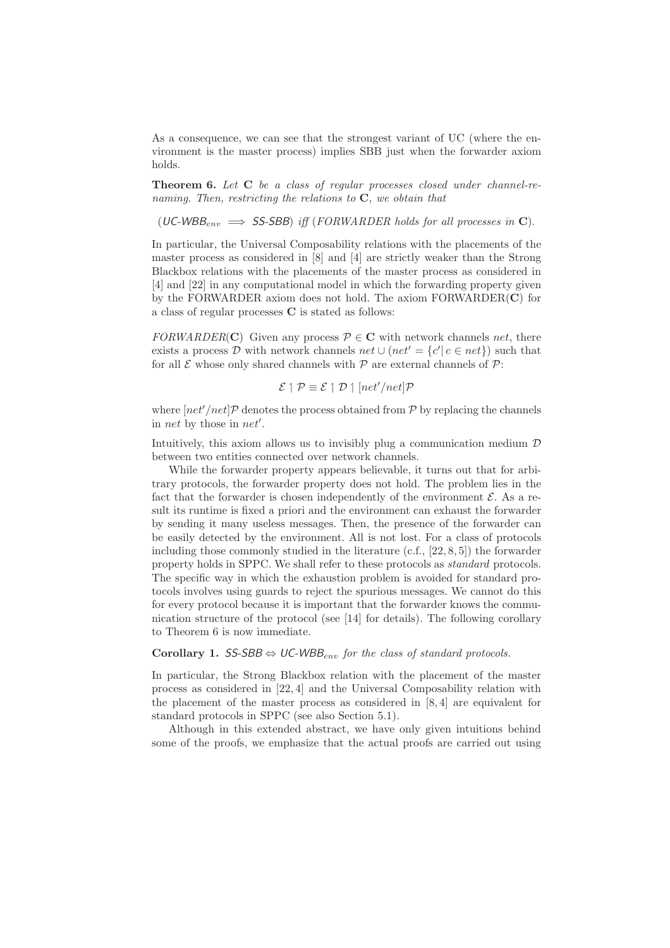As a consequence, we can see that the strongest variant of UC (where the environment is the master process) implies SBB just when the forwarder axiom holds.

Theorem 6. Let C be a class of regular processes closed under channel-renaming. Then, restricting the relations to  $C$ , we obtain that

 $(UC-WBB_{env} \implies SS-SBB)$  iff (FORWARDER holds for all processes in C).

In particular, the Universal Composability relations with the placements of the master process as considered in [8] and [4] are strictly weaker than the Strong Blackbox relations with the placements of the master process as considered in [4] and [22] in any computational model in which the forwarding property given by the FORWARDER axiom does not hold. The axiom FORWARDER(C) for a class of regular processes C is stated as follows:

 $FORMARDER(C)$  Given any process  $P \in C$  with network channels net, there exists a process D with network channels  $net \cup (net' = \{c' | c \in net\})$  such that for all  $\mathcal E$  whose only shared channels with  $\mathcal P$  are external channels of  $\mathcal P$ :

$$
\mathcal{E} \upharpoonright \mathcal{P} \equiv \mathcal{E} \upharpoonright \mathcal{D} \upharpoonright [net'/net] \mathcal{P}
$$

where  $[net'/net]\mathcal{P}$  denotes the process obtained from  $\mathcal{P}$  by replacing the channels in net by those in net′ .

Intuitively, this axiom allows us to invisibly plug a communication medium  $\mathcal D$ between two entities connected over network channels.

While the forwarder property appears believable, it turns out that for arbitrary protocols, the forwarder property does not hold. The problem lies in the fact that the forwarder is chosen independently of the environment  $\mathcal{E}$ . As a result its runtime is fixed a priori and the environment can exhaust the forwarder by sending it many useless messages. Then, the presence of the forwarder can be easily detected by the environment. All is not lost. For a class of protocols including those commonly studied in the literature (c.f., [22, 8, 5]) the forwarder property holds in SPPC. We shall refer to these protocols as standard protocols. The specific way in which the exhaustion problem is avoided for standard protocols involves using guards to reject the spurious messages. We cannot do this for every protocol because it is important that the forwarder knows the communication structure of the protocol (see [14] for details). The following corollary to Theorem 6 is now immediate.

#### Corollary 1. SS-SBB  $\Leftrightarrow$  UC-WBB<sub>env</sub> for the class of standard protocols.

In particular, the Strong Blackbox relation with the placement of the master process as considered in [22, 4] and the Universal Composability relation with the placement of the master process as considered in [8, 4] are equivalent for standard protocols in SPPC (see also Section 5.1).

Although in this extended abstract, we have only given intuitions behind some of the proofs, we emphasize that the actual proofs are carried out using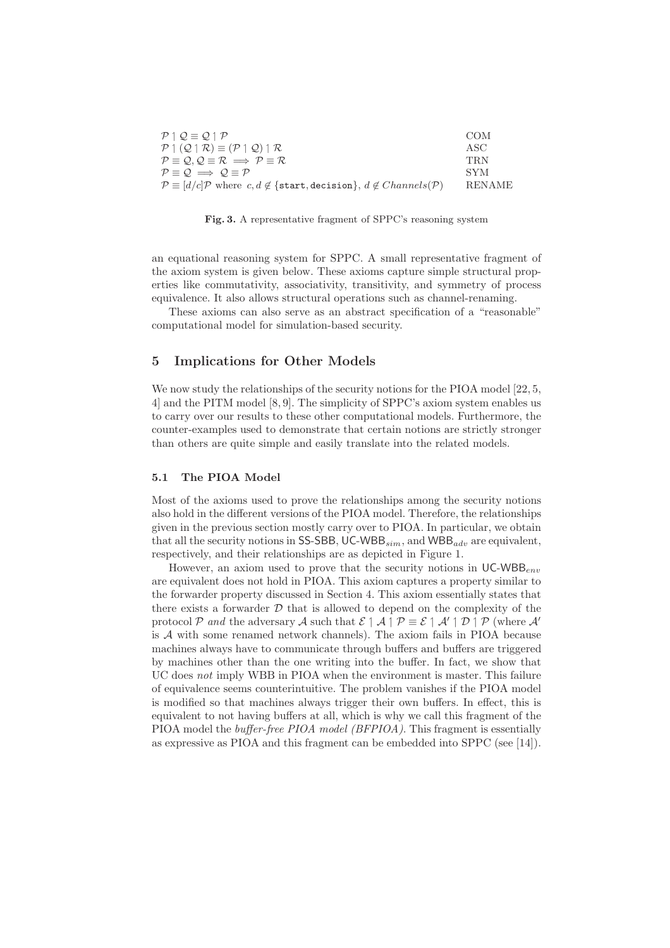| $P \perp Q \equiv Q \perp P$                                                                                                    | <b>COM</b> |
|---------------------------------------------------------------------------------------------------------------------------------|------------|
| $P (Q   R) \equiv (P   Q)   R$                                                                                                  | ASC        |
| $P \equiv Q$ , $Q \equiv R \implies P \equiv R$                                                                                 | <b>TRN</b> |
| $P \equiv Q \implies Q \equiv P$                                                                                                | -SYM       |
| $\mathcal{P} \equiv [d/c]\mathcal{P}$ where c, $d \notin \{\texttt{start}, \texttt{decision}\}, d \notin Channels(\mathcal{P})$ | RENAME     |

Fig. 3. A representative fragment of SPPC's reasoning system

an equational reasoning system for SPPC. A small representative fragment of the axiom system is given below. These axioms capture simple structural properties like commutativity, associativity, transitivity, and symmetry of process equivalence. It also allows structural operations such as channel-renaming.

These axioms can also serve as an abstract specification of a "reasonable" computational model for simulation-based security.

### 5 Implications for Other Models

We now study the relationships of the security notions for the PIOA model [22, 5, 4] and the PITM model [8, 9]. The simplicity of SPPC's axiom system enables us to carry over our results to these other computational models. Furthermore, the counter-examples used to demonstrate that certain notions are strictly stronger than others are quite simple and easily translate into the related models.

#### 5.1 The PIOA Model

Most of the axioms used to prove the relationships among the security notions also hold in the different versions of the PIOA model. Therefore, the relationships given in the previous section mostly carry over to PIOA. In particular, we obtain that all the security notions in SS-SBB, UC-WBB $_{sim}$ , and WBB $_{adv}$  are equivalent, respectively, and their relationships are as depicted in Figure 1.

However, an axiom used to prove that the security notions in  $UC-WBB_{env}$ are equivalent does not hold in PIOA. This axiom captures a property similar to the forwarder property discussed in Section 4. This axiom essentially states that there exists a forwarder  $D$  that is allowed to depend on the complexity of the protocol P and the adversary A such that  $\mathcal{E} \upharpoonright \mathcal{A} \upharpoonright \mathcal{P} \equiv \mathcal{E} \upharpoonright \mathcal{A}' \upharpoonright \mathcal{D} \upharpoonright \mathcal{P}$  (where  $\mathcal{A}'$ is A with some renamed network channels). The axiom fails in PIOA because machines always have to communicate through buffers and buffers are triggered by machines other than the one writing into the buffer. In fact, we show that UC does not imply WBB in PIOA when the environment is master. This failure of equivalence seems counterintuitive. The problem vanishes if the PIOA model is modified so that machines always trigger their own buffers. In effect, this is equivalent to not having buffers at all, which is why we call this fragment of the PIOA model the buffer-free PIOA model (BFPIOA). This fragment is essentially as expressive as PIOA and this fragment can be embedded into SPPC (see [14]).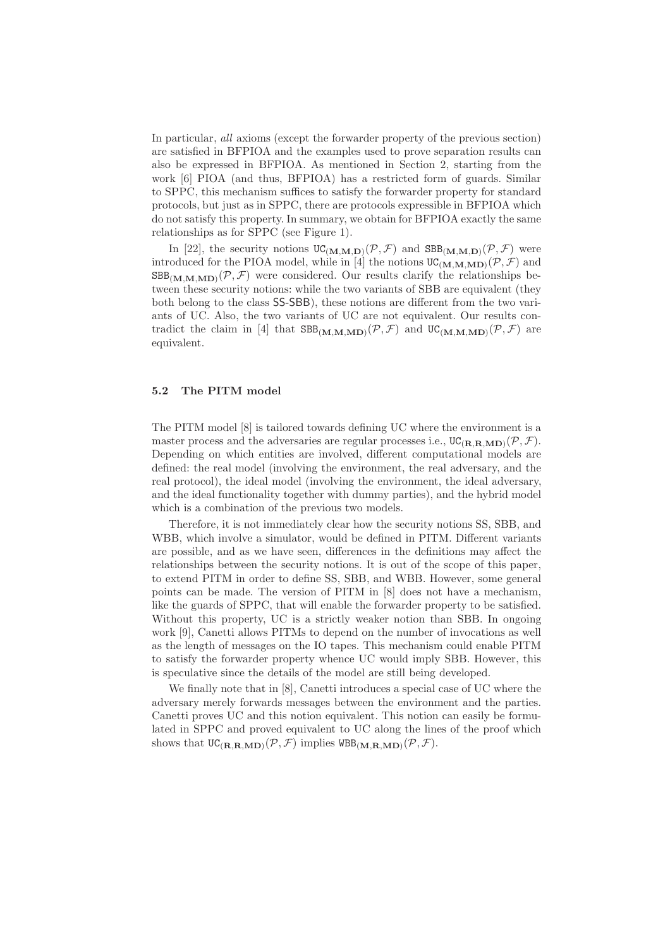In particular, all axioms (except the forwarder property of the previous section) are satisfied in BFPIOA and the examples used to prove separation results can also be expressed in BFPIOA. As mentioned in Section 2, starting from the work [6] PIOA (and thus, BFPIOA) has a restricted form of guards. Similar to SPPC, this mechanism suffices to satisfy the forwarder property for standard protocols, but just as in SPPC, there are protocols expressible in BFPIOA which do not satisfy this property. In summary, we obtain for BFPIOA exactly the same relationships as for SPPC (see Figure 1).

In [22], the security notions  $UC_{(M,M,D)}(\mathcal{P},\mathcal{F})$  and  $SBB_{(M,M,D)}(\mathcal{P},\mathcal{F})$  were introduced for the PIOA model, while in [4] the notions  $UC_{(M,M,MD)}(\mathcal{P}, \mathcal{F})$  and  $SBB_{(M,M,MD)}(\mathcal{P}, \mathcal{F})$  were considered. Our results clarify the relationships between these security notions: while the two variants of SBB are equivalent (they both belong to the class SS-SBB), these notions are different from the two variants of UC. Also, the two variants of UC are not equivalent. Our results contradict the claim in [4] that  $SBB_{(M,M,MD)}(\mathcal{P}, \mathcal{F})$  and  $UC_{(M,M,MD)}(\mathcal{P}, \mathcal{F})$  are equivalent.

#### 5.2 The PITM model

The PITM model [8] is tailored towards defining UC where the environment is a master process and the adversaries are regular processes i.e.,  $UC_{(R,R,MD)}(\mathcal{P},\mathcal{F})$ . Depending on which entities are involved, different computational models are defined: the real model (involving the environment, the real adversary, and the real protocol), the ideal model (involving the environment, the ideal adversary, and the ideal functionality together with dummy parties), and the hybrid model which is a combination of the previous two models.

Therefore, it is not immediately clear how the security notions SS, SBB, and WBB, which involve a simulator, would be defined in PITM. Different variants are possible, and as we have seen, differences in the definitions may affect the relationships between the security notions. It is out of the scope of this paper, to extend PITM in order to define SS, SBB, and WBB. However, some general points can be made. The version of PITM in [8] does not have a mechanism, like the guards of SPPC, that will enable the forwarder property to be satisfied. Without this property, UC is a strictly weaker notion than SBB. In ongoing work [9], Canetti allows PITMs to depend on the number of invocations as well as the length of messages on the IO tapes. This mechanism could enable PITM to satisfy the forwarder property whence UC would imply SBB. However, this is speculative since the details of the model are still being developed.

We finally note that in [8], Canetti introduces a special case of UC where the adversary merely forwards messages between the environment and the parties. Canetti proves UC and this notion equivalent. This notion can easily be formulated in SPPC and proved equivalent to UC along the lines of the proof which shows that  $UC_{(R,R,\textbf{MD})}(\mathcal{P},\mathcal{F})$  implies  $WBB_{(\textbf{M},R,\textbf{MD})}(\mathcal{P},\mathcal{F})$ .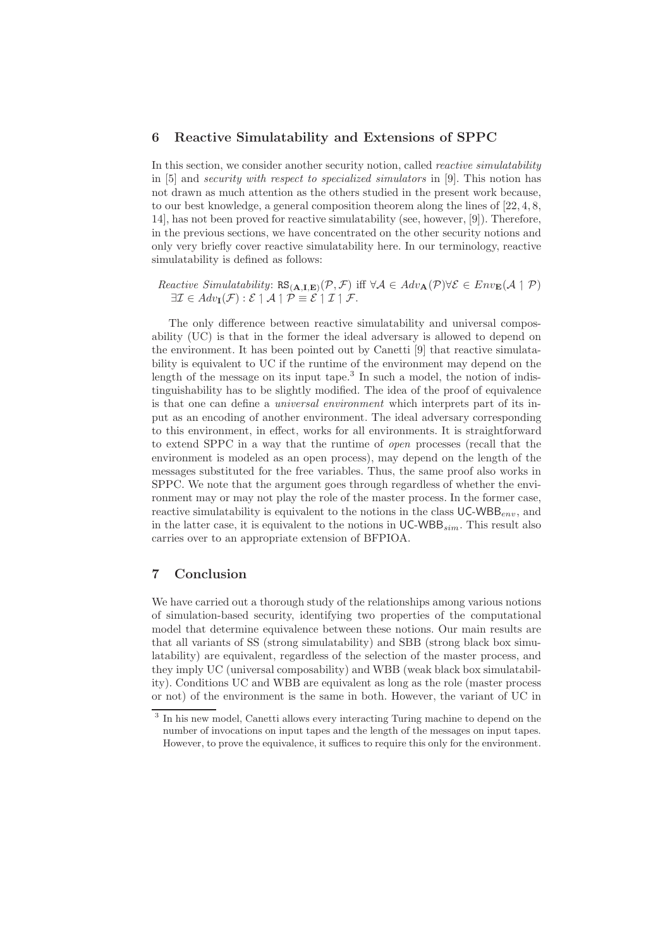### 6 Reactive Simulatability and Extensions of SPPC

In this section, we consider another security notion, called *reactive simulatability* in [5] and security with respect to specialized simulators in [9]. This notion has not drawn as much attention as the others studied in the present work because, to our best knowledge, a general composition theorem along the lines of [22, 4, 8, 14], has not been proved for reactive simulatability (see, however, [9]). Therefore, in the previous sections, we have concentrated on the other security notions and only very briefly cover reactive simulatability here. In our terminology, reactive simulatability is defined as follows:

Reactive Simulatability:  $RS_{(A,I,E)}(\mathcal{P},\mathcal{F})$  iff  $\forall A \in Adv_{A}(\mathcal{P}) \forall \mathcal{E} \in Env_{E}(\mathcal{A} \upharpoonright \mathcal{P})$  $\exists \mathcal{I} \in Adv_{\mathbf{I}}(\mathcal{F}) : \mathcal{E} \upharpoonright \mathcal{A} \upharpoonright \mathcal{P} \equiv \mathcal{E} \upharpoonright \mathcal{I} \upharpoonright \mathcal{F}.$ 

The only difference between reactive simulatability and universal composability (UC) is that in the former the ideal adversary is allowed to depend on the environment. It has been pointed out by Canetti [9] that reactive simulatability is equivalent to UC if the runtime of the environment may depend on the length of the message on its input tape.<sup>3</sup> In such a model, the notion of indistinguishability has to be slightly modified. The idea of the proof of equivalence is that one can define a universal environment which interprets part of its input as an encoding of another environment. The ideal adversary corresponding to this environment, in effect, works for all environments. It is straightforward to extend SPPC in a way that the runtime of open processes (recall that the environment is modeled as an open process), may depend on the length of the messages substituted for the free variables. Thus, the same proof also works in SPPC. We note that the argument goes through regardless of whether the environment may or may not play the role of the master process. In the former case, reactive simulatability is equivalent to the notions in the class  $UC\text{-}WBB_{env}$ , and in the latter case, it is equivalent to the notions in  $UC\text{-}WBB_{sim}$ . This result also carries over to an appropriate extension of BFPIOA.

## 7 Conclusion

We have carried out a thorough study of the relationships among various notions of simulation-based security, identifying two properties of the computational model that determine equivalence between these notions. Our main results are that all variants of SS (strong simulatability) and SBB (strong black box simulatability) are equivalent, regardless of the selection of the master process, and they imply UC (universal composability) and WBB (weak black box simulatability). Conditions UC and WBB are equivalent as long as the role (master process or not) of the environment is the same in both. However, the variant of UC in

<sup>&</sup>lt;sup>3</sup> In his new model, Canetti allows every interacting Turing machine to depend on the number of invocations on input tapes and the length of the messages on input tapes. However, to prove the equivalence, it suffices to require this only for the environment.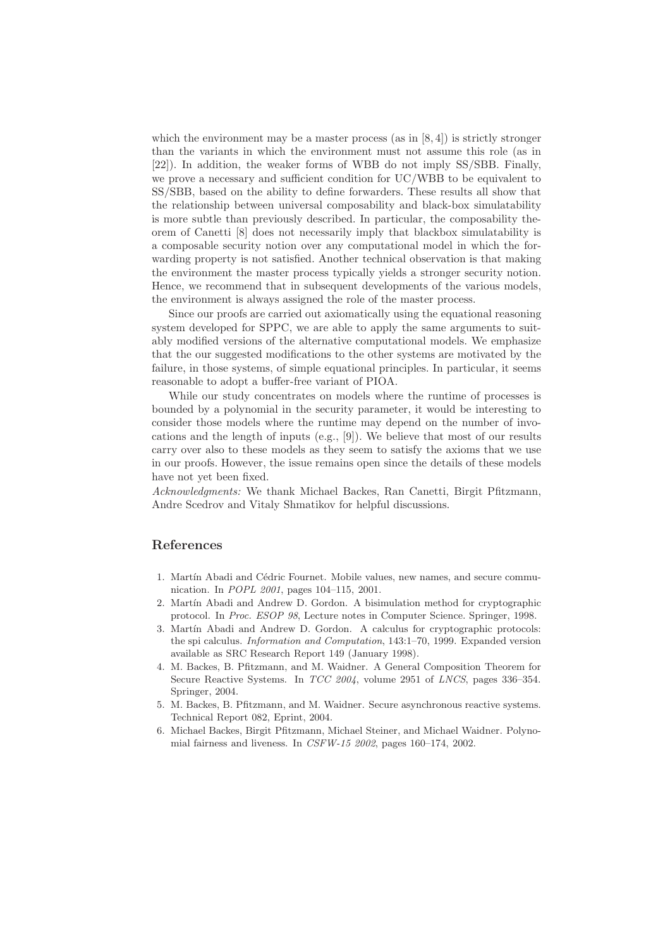which the environment may be a master process (as in  $[8, 4]$ ) is strictly stronger than the variants in which the environment must not assume this role (as in [22]). In addition, the weaker forms of WBB do not imply SS/SBB. Finally, we prove a necessary and sufficient condition for UC/WBB to be equivalent to SS/SBB, based on the ability to define forwarders. These results all show that the relationship between universal composability and black-box simulatability is more subtle than previously described. In particular, the composability theorem of Canetti [8] does not necessarily imply that blackbox simulatability is a composable security notion over any computational model in which the forwarding property is not satisfied. Another technical observation is that making the environment the master process typically yields a stronger security notion. Hence, we recommend that in subsequent developments of the various models, the environment is always assigned the role of the master process.

Since our proofs are carried out axiomatically using the equational reasoning system developed for SPPC, we are able to apply the same arguments to suitably modified versions of the alternative computational models. We emphasize that the our suggested modifications to the other systems are motivated by the failure, in those systems, of simple equational principles. In particular, it seems reasonable to adopt a buffer-free variant of PIOA.

While our study concentrates on models where the runtime of processes is bounded by a polynomial in the security parameter, it would be interesting to consider those models where the runtime may depend on the number of invocations and the length of inputs (e.g., [9]). We believe that most of our results carry over also to these models as they seem to satisfy the axioms that we use in our proofs. However, the issue remains open since the details of these models have not yet been fixed.

Acknowledgments: We thank Michael Backes, Ran Canetti, Birgit Pfitzmann, Andre Scedrov and Vitaly Shmatikov for helpful discussions.

#### References

- 1. Martín Abadi and Cédric Fournet. Mobile values, new names, and secure communication. In POPL 2001, pages 104–115, 2001.
- 2. Martín Abadi and Andrew D. Gordon. A bisimulation method for cryptographic protocol. In Proc. ESOP 98, Lecture notes in Computer Science. Springer, 1998.
- 3. Martín Abadi and Andrew D. Gordon. A calculus for cryptographic protocols: the spi calculus. Information and Computation, 143:1–70, 1999. Expanded version available as SRC Research Report 149 (January 1998).
- 4. M. Backes, B. Pfitzmann, and M. Waidner. A General Composition Theorem for Secure Reactive Systems. In TCC 2004, volume 2951 of LNCS, pages 336–354. Springer, 2004.
- 5. M. Backes, B. Pfitzmann, and M. Waidner. Secure asynchronous reactive systems. Technical Report 082, Eprint, 2004.
- 6. Michael Backes, Birgit Pfitzmann, Michael Steiner, and Michael Waidner. Polynomial fairness and liveness. In CSFW-15 2002, pages 160–174, 2002.